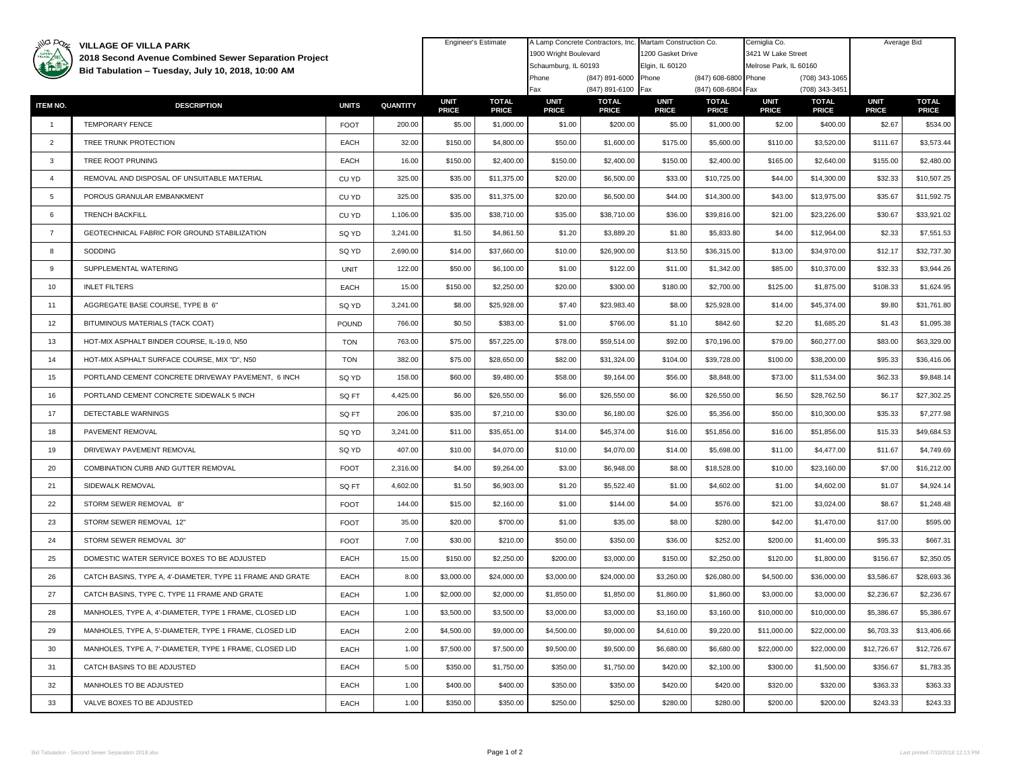| illa pazz       | <b>VILLAGE OF VILLA PARK</b><br>2018 Second Avenue Combined Sewer Separation Project<br>Bid Tabulation - Tuesday, July 10, 2018, 10:00 AM |              |          | <b>Engineer's Estimate</b>  |                              | A Lamp Concrete Contractors, Inc.<br>1900 Wright Boulevard<br>Schaumburg, IL 60193 |                              | Martam Construction Co.<br>1200 Gasket Drive<br>Elgin, IL 60120 |                              | Cerniglia Co.<br>3421 W Lake Street<br>Melrose Park, IL 60160 |                              | Average Bid                 |                              |
|-----------------|-------------------------------------------------------------------------------------------------------------------------------------------|--------------|----------|-----------------------------|------------------------------|------------------------------------------------------------------------------------|------------------------------|-----------------------------------------------------------------|------------------------------|---------------------------------------------------------------|------------------------------|-----------------------------|------------------------------|
|                 |                                                                                                                                           |              |          |                             |                              |                                                                                    |                              |                                                                 |                              |                                                               |                              |                             |                              |
|                 |                                                                                                                                           |              |          |                             |                              | (847) 891-6000 Phone<br>Phone                                                      |                              |                                                                 | (847) 608-6800 Phone         |                                                               | (708) 343-1065               |                             |                              |
|                 |                                                                                                                                           |              |          |                             |                              | Fax                                                                                | (847) 891-6100 Fax           |                                                                 | (847) 608-6804 Fax           |                                                               | (708) 343-3451               |                             |                              |
| <b>ITEM NO.</b> | <b>DESCRIPTION</b>                                                                                                                        | <b>UNITS</b> | QUANTITY | <b>UNIT</b><br><b>PRICE</b> | <b>TOTAL</b><br><b>PRICE</b> | <b>UNIT</b><br><b>PRICE</b>                                                        | <b>TOTAL</b><br><b>PRICE</b> | <b>UNIT</b><br><b>PRICE</b>                                     | <b>TOTAL</b><br><b>PRICE</b> | <b>UNIT</b><br><b>PRICE</b>                                   | <b>TOTAL</b><br><b>PRICE</b> | <b>UNIT</b><br><b>PRICE</b> | <b>TOTAL</b><br><b>PRICE</b> |
| $\overline{1}$  | <b>TEMPORARY FENCE</b>                                                                                                                    | <b>FOOT</b>  | 200.00   | \$5.00                      | \$1,000.00                   | \$1.00                                                                             | \$200.00                     | \$5.00                                                          | \$1,000.00                   | \$2.00                                                        | \$400.00                     | \$2.67                      | \$534.00                     |
| $\overline{2}$  | TREE TRUNK PROTECTION                                                                                                                     | EACH         | 32.00    | \$150.00                    | \$4,800.00                   | \$50.00                                                                            | \$1,600.00                   | \$175.00                                                        | \$5,600.00                   | \$110.00                                                      | \$3,520.00                   | \$111.67                    | \$3,573.44                   |
| 3               | TREE ROOT PRUNING                                                                                                                         | EACH         | 16.00    | \$150.00                    | \$2,400.00                   | \$150.00                                                                           | \$2,400.00                   | \$150.00                                                        | \$2,400.00                   | \$165.00                                                      | \$2,640.00                   | \$155.00                    | \$2,480.00                   |
| $\overline{4}$  | REMOVAL AND DISPOSAL OF UNSUITABLE MATERIAL                                                                                               | CU YD        | 325.00   | \$35.00                     | \$11,375.00                  | \$20.00                                                                            | \$6,500.00                   | \$33.00                                                         | \$10,725.00                  | \$44.00                                                       | \$14,300.00                  | \$32.33                     | \$10,507.25                  |
| 5               | POROUS GRANULAR EMBANKMENT                                                                                                                | CU YD        | 325.00   | \$35.00                     | \$11,375.00                  | \$20.00                                                                            | \$6,500.00                   | \$44.00                                                         | \$14,300.00                  | \$43.00                                                       | \$13,975.00                  | \$35.67                     | \$11,592.75                  |
| 6               | <b>TRENCH BACKFILL</b>                                                                                                                    | CU YD        | 1,106.00 | \$35.00                     | \$38,710.00                  | \$35.00                                                                            | \$38,710.00                  | \$36.00                                                         | \$39,816.00                  | \$21.00                                                       | \$23,226.00                  | \$30.67                     | \$33,921.02                  |
| $\overline{7}$  | GEOTECHNICAL FABRIC FOR GROUND STABILIZATION                                                                                              | SQ YD        | 3,241.00 | \$1.50                      | \$4,861.50                   | \$1.20                                                                             | \$3,889.20                   | \$1.80                                                          | \$5,833.80                   | \$4.00                                                        | \$12,964.00                  | \$2.33                      | \$7,551.53                   |
| 8               | SODDING                                                                                                                                   | SQ YD        | 2,690.00 | \$14.00                     | \$37,660.00                  | \$10.00                                                                            | \$26,900.00                  | \$13.50                                                         | \$36,315.00                  | \$13.00                                                       | \$34,970.00                  | \$12.17                     | \$32,737.30                  |
| 9               | SUPPLEMENTAL WATERING                                                                                                                     | <b>UNIT</b>  | 122.00   | \$50.00                     | \$6,100.00                   | \$1.00                                                                             | \$122.00                     | \$11.00                                                         | \$1,342.00                   | \$85.00                                                       | \$10,370.00                  | \$32.33                     | \$3,944.26                   |
| 10              | <b>INLET FILTERS</b>                                                                                                                      | EACH         | 15.00    | \$150.00                    | \$2,250.00                   | \$20.00                                                                            | \$300.00                     | \$180.00                                                        | \$2,700.00                   | \$125.00                                                      | \$1,875.00                   | \$108.33                    | \$1,624.95                   |
| 11              | AGGREGATE BASE COURSE, TYPE B 6"                                                                                                          | SQ YD        | 3,241.00 | \$8.00                      | \$25,928.00                  | \$7.40                                                                             | \$23,983.40                  | \$8.00                                                          | \$25,928.00                  | \$14.00                                                       | \$45,374.00                  | \$9.80                      | \$31,761.80                  |
| 12              | BITUMINOUS MATERIALS (TACK COAT)                                                                                                          | <b>POUND</b> | 766.00   | \$0.50                      | \$383.00                     | \$1.00                                                                             | \$766.00                     | \$1.10                                                          | \$842.60                     | \$2.20                                                        | \$1,685.20                   | \$1.43                      | \$1,095.38                   |
| 13              | HOT-MIX ASPHALT BINDER COURSE, IL-19.0, N50                                                                                               | <b>TON</b>   | 763.00   | \$75.00                     | \$57,225.00                  | \$78.00                                                                            | \$59,514.00                  | \$92.00                                                         | \$70,196.00                  | \$79.00                                                       | \$60,277.00                  | \$83.00                     | \$63,329.00                  |
| 14              | HOT-MIX ASPHALT SURFACE COURSE, MIX "D", N50                                                                                              | <b>TON</b>   | 382.00   | \$75.00                     | \$28,650.00                  | \$82.00                                                                            | \$31,324.00                  | \$104.00                                                        | \$39,728.00                  | \$100.00                                                      | \$38,200.00                  | \$95.33                     | \$36,416.06                  |
| 15              | PORTLAND CEMENT CONCRETE DRIVEWAY PAVEMENT, 6 INCH                                                                                        | SQ YD        | 158.00   | \$60.00                     | \$9,480.00                   | \$58.00                                                                            | \$9,164.00                   | \$56.00                                                         | \$8,848.00                   | \$73.00                                                       | \$11,534.00                  | \$62.33                     | \$9,848.14                   |
| 16              | PORTLAND CEMENT CONCRETE SIDEWALK 5 INCH                                                                                                  | SQ FT        | 4,425.00 | \$6.00                      | \$26,550.00                  | \$6.00                                                                             | \$26,550.00                  | \$6.00                                                          | \$26,550.00                  | \$6.50                                                        | \$28,762.50                  | \$6.17                      | \$27,302.25                  |
| 17              | DETECTABLE WARNINGS                                                                                                                       | SQ FT        | 206.00   | \$35.00                     | \$7,210.00                   | \$30.00                                                                            | \$6,180.00                   | \$26.00                                                         | \$5,356.00                   | \$50.00                                                       | \$10,300.00                  | \$35.33                     | \$7,277.98                   |
| 18              | PAVEMENT REMOVAL                                                                                                                          | SQ YD        | 3,241.00 | \$11.00                     | \$35,651.00                  | \$14.00                                                                            | \$45,374.00                  | \$16.00                                                         | \$51,856.00                  | \$16.00                                                       | \$51,856.00                  | \$15.33                     | \$49,684.53                  |
| 19              | DRIVEWAY PAVEMENT REMOVAL                                                                                                                 | SQ YD        | 407.00   | \$10.00                     | \$4,070.00                   | \$10.00                                                                            | \$4,070.00                   | \$14.00                                                         | \$5,698.00                   | \$11.00                                                       | \$4,477.00                   | \$11.67                     | \$4,749.69                   |
| 20              | COMBINATION CURB AND GUTTER REMOVAL                                                                                                       | <b>FOOT</b>  | 2,316.00 | \$4.00                      | \$9,264.00                   | \$3.00                                                                             | \$6,948.00                   | \$8.00                                                          | \$18,528.00                  | \$10.00                                                       | \$23,160.00                  | \$7.00                      | \$16,212.00                  |
| 21              | SIDEWALK REMOVAL                                                                                                                          | SQ FT        | 4,602.00 | \$1.50                      | \$6,903.00                   | \$1.20                                                                             | \$5,522.40                   | \$1.00                                                          | \$4,602.00                   | \$1.00                                                        | \$4,602.00                   | \$1.07                      | \$4,924.14                   |
| 22              | STORM SEWER REMOVAL 8"                                                                                                                    | <b>FOOT</b>  | 144.00   | \$15.00                     | \$2,160.00                   | \$1.00                                                                             | \$144.00                     | \$4.00                                                          | \$576.00                     | \$21.00                                                       | \$3,024.00                   | \$8.67                      | \$1,248.48                   |
| 23              | STORM SEWER REMOVAL 12"                                                                                                                   | <b>FOOT</b>  | 35.00    | \$20.00                     | \$700.00                     | \$1.00                                                                             | \$35.00                      | \$8.00                                                          | \$280.00                     | \$42.00                                                       | \$1,470.00                   | \$17.00                     | \$595.00                     |
| 24              | STORM SEWER REMOVAL 30"                                                                                                                   | <b>FOOT</b>  | 7.00     | \$30.00                     | \$210.00                     | \$50.00                                                                            | \$350.00                     | \$36.00                                                         | \$252.00                     | \$200.00                                                      | \$1,400.00                   | \$95.33                     | \$667.31                     |
| 25              | DOMESTIC WATER SERVICE BOXES TO BE ADJUSTED                                                                                               | EACH         | 15.00    | \$150.00                    | \$2,250.00                   | \$200.00                                                                           | \$3,000.00                   | \$150.00                                                        | \$2,250.00                   | \$120.00                                                      | \$1,800.00                   | \$156.67                    | \$2,350.05                   |
| 26              | CATCH BASINS, TYPE A, 4'-DIAMETER, TYPE 11 FRAME AND GRATE                                                                                | EACH         | 8.00     | \$3,000.00                  | \$24,000.00                  | \$3,000.00                                                                         | \$24,000.00                  | \$3,260.00                                                      | \$26,080.00                  | \$4,500.00                                                    | \$36,000.00                  | \$3,586.67                  | \$28,693.36                  |
| 27              | CATCH BASINS. TYPE C. TYPE 11 FRAME AND GRATE                                                                                             | EACH         | 1.00     | \$2,000.00                  | \$2,000.00                   | \$1,850.00                                                                         | \$1,850.00                   | \$1,860.00                                                      | \$1,860.00                   | \$3,000.00                                                    | \$3,000.00                   | \$2,236.67                  | \$2,236.67                   |
| 28              | MANHOLES, TYPE A, 4'-DIAMETER, TYPE 1 FRAME, CLOSED LID                                                                                   | EACH         | 1.00     | \$3,500.00                  | \$3,500.00                   | \$3,000.00                                                                         | \$3,000.00                   | \$3,160.00                                                      | \$3,160.00                   | \$10,000.00                                                   | \$10,000.00                  | \$5,386.67                  | \$5,386.67                   |
| 29              | MANHOLES, TYPE A, 5'-DIAMETER, TYPE 1 FRAME, CLOSED LID                                                                                   | EACH         | 2.00     | \$4,500.00                  | \$9,000.00                   | \$4,500.00                                                                         | \$9,000.00                   | \$4,610.00                                                      | \$9,220.00                   | \$11,000.00                                                   | \$22,000.00                  | \$6,703.33                  | \$13,406.66                  |
| 30              | MANHOLES, TYPE A, 7'-DIAMETER, TYPE 1 FRAME, CLOSED LID                                                                                   | EACH         | 1.00     | \$7,500.00                  | \$7,500.00                   | \$9,500.00                                                                         | \$9,500.00                   | \$6,680.00                                                      | \$6,680.00                   | \$22,000.00                                                   | \$22,000.00                  | \$12,726.67                 | \$12,726.67                  |
| 31              | CATCH BASINS TO BE ADJUSTED                                                                                                               | EACH         | 5.00     | \$350.00                    | \$1,750.00                   | \$350.00                                                                           | \$1,750.00                   | \$420.00                                                        | \$2,100.00                   | \$300.00                                                      | \$1,500.00                   | \$356.67                    | \$1,783.35                   |
| 32              | MANHOLES TO BE ADJUSTED                                                                                                                   | EACH         | 1.00     | \$400.00                    | \$400.00                     | \$350.00                                                                           | \$350.00                     | \$420.00                                                        | \$420.00                     | \$320.00                                                      | \$320.00                     | \$363.33                    | \$363.33                     |
| 33              | VALVE BOXES TO BE ADJUSTED                                                                                                                | EACH         | 1.00     | \$350.00                    | \$350.00                     | \$250.00                                                                           | \$250.00                     | \$280.00                                                        | \$280.00                     | \$200.00                                                      | \$200.00                     | \$243.33                    | \$243.33                     |